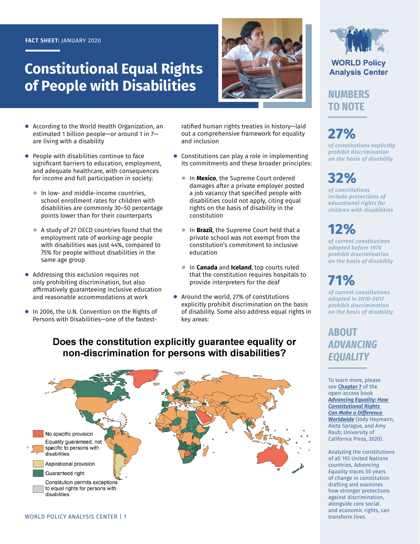#### **FACT SHEET:** JANUARY 2020

## **Constitutional Equal Rights of People with Disabilities**



- According to the World Health Organization, an estimated 1 billion people—or around 1 in 7 are living with a disability
- People with disabilities continue to face significant barriers to education, employment, and adequate healthcare, with consequences for income and full participation in society:
	- **●** In low- and middle-income countries, school enrollment rates for children with disabilities are commonly 30–50 percentage points lower than for their counterparts
	- **●** A study of 27 OECD countries found that the employment rate of working-age people with disabilities was just 44%, compared to 75% for people without disabilities in the same age group
- Addressing this exclusion requires not only prohibiting discrimination, but also affirmatively guaranteeing inclusive education and reasonable accommodations at work
- **●** In 2006, the U.N. Convention on the Rights of Persons with Disabilities—one of the fastest-

ratified human rights treaties in history—laid out a comprehensive framework for equality and inclusion

- **●** Constitutions can play a role in implementing its commitments and these broader principles:
	- **●** In **Mexico**, the Supreme Court ordered damages after a private employer posted a job vacancy that specified people with disabilities could not apply, citing equal rights on the basis of disability in the constitution
	- **●** In **Brazil**, the Supreme Court held that a private school was not exempt from the constitution's commitment to inclusive education
	- **●** In **Canada** and **Iceland**, top courts ruled that the constitution requires hospitals to provide interpreters for the deaf
- **●** Around the world, 27% of constitutions explicitly prohibit discrimination on the basis of disability. Some also address equal rights in key areas:

**WORLD Policy Analysis Center** 

**NUMBERS TO NOTE**

# **27%**

*of constitutions explicitly prohibit discrimination on the basis of disability*

## **32%**

*of constitutions include protections of educational rights for children with disabilities*

## **12%**

*of current constitutions adopted before 1970 prohibit discrimination on the basis of disability*

## **71%**

*of current constitutions adopted in 2010–2017 prohibit discrimination on the basis of disability*

### **ABOUT**  *ADVANCING EQUALITY*

To learn more, please see **[Chapter 7](https://doi.org/10.1525/luminos.81.h)** of the open-access book *[Advancing Equality: How](https://doi.org/10.1525/luminos.81)  [Constitutional Rights](https://doi.org/10.1525/luminos.81)  [Can Make a Difference](https://doi.org/10.1525/luminos.81)  [Worldwide](https://doi.org/10.1525/luminos.81)* (Jody Heymann, Aleta Sprague, and Amy Raub; University of California Press, 2020).

Analyzing the constitutions of all 193 United Nations countries, *Advancing Equality* traces 50 years of change in constitution drafting and examines how stronger protections against discrimination, alongside core social and economic rights, can transform lives.

#### Does the constitution explicitly guarantee equality or non-discrimination for persons with disabilities?